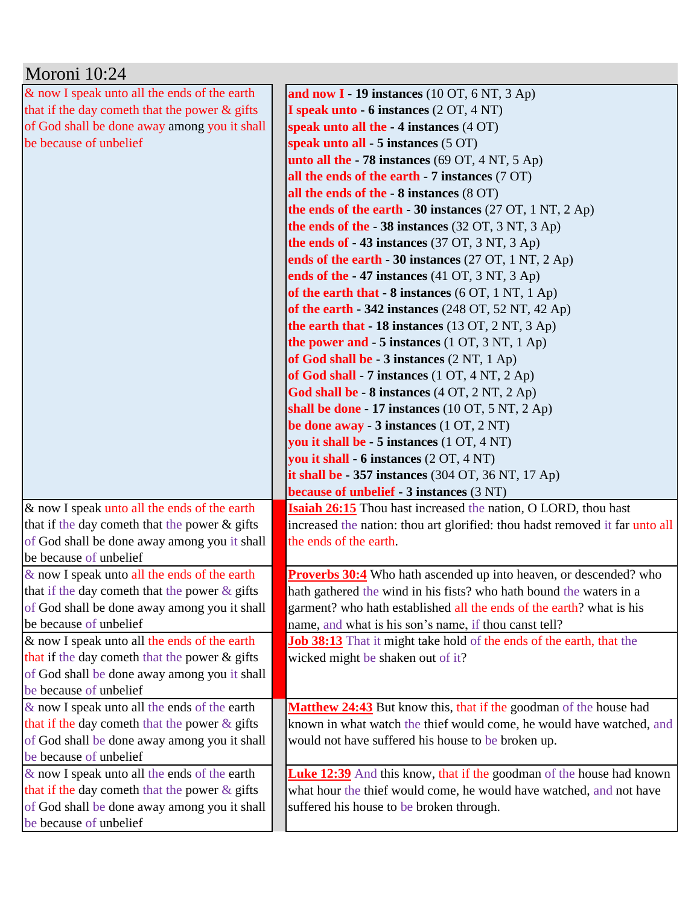| Moroni 10:24                                                           |                                                                              |
|------------------------------------------------------------------------|------------------------------------------------------------------------------|
| & now I speak unto all the ends of the earth                           | and now $I - 19$ instances (10 OT, 6 NT, 3 Ap)                               |
| that if the day cometh that the power & gifts                          | I speak unto - 6 instances (2 OT, 4 NT)                                      |
| of God shall be done away among you it shall                           | speak unto all the - 4 instances (4 OT)                                      |
| be because of unbelief                                                 | speak unto all - 5 instances (5 OT)                                          |
|                                                                        | unto all the $-78$ instances (69 OT, 4 NT, 5 Ap)                             |
|                                                                        | all the ends of the earth - 7 instances (7 OT)                               |
|                                                                        | all the ends of the - 8 instances (8 OT)                                     |
|                                                                        | the ends of the earth $-30$ instances (27 OT, 1 NT, 2 Ap)                    |
|                                                                        | the ends of the $-38$ instances (32 OT, 3 NT, 3 Ap)                          |
|                                                                        | the ends of $-43$ instances (37 OT, 3 NT, 3 Ap)                              |
|                                                                        | ends of the earth - 30 instances (27 OT, 1 NT, 2 Ap)                         |
|                                                                        | ends of the -47 instances (41 OT, 3 NT, 3 Ap)                                |
|                                                                        | of the earth that $-8$ instances (6 OT, 1 NT, 1 Ap)                          |
|                                                                        | of the earth $-342$ instances (248 OT, 52 NT, 42 Ap)                         |
|                                                                        | the earth that - 18 instances (13 OT, 2 NT, 3 Ap)                            |
|                                                                        | the power and $-5$ instances (1 OT, 3 NT, 1 Ap)                              |
|                                                                        | of God shall be $-3$ instances $(2 NT, 1 Ap)$                                |
|                                                                        | of God shall - 7 instances $(1 OT, 4 NT, 2 Ap)$                              |
|                                                                        | God shall be - 8 instances (4 OT, 2 NT, 2 Ap)                                |
|                                                                        | shall be done - 17 instances $(10 OT, 5 NT, 2 Ap)$                           |
|                                                                        | be done away - 3 instances (1 OT, 2 NT)                                      |
|                                                                        | you it shall be - 5 instances (1 OT, 4 NT)                                   |
|                                                                        | you it shall - 6 instances (2 OT, 4 NT)                                      |
|                                                                        | it shall be $-357$ instances (304 OT, 36 NT, 17 Ap)                          |
|                                                                        | because of unbelief - 3 instances (3 NT)                                     |
| & now I speak unto all the ends of the earth                           | <b>Isaiah 26:15</b> Thou hast increased the nation, O LORD, thou hast        |
| that if the day cometh that the power & gifts                          | increased the nation: thou art glorified: thou hadst removed it far unto all |
| of God shall be done away among you it shall<br>be because of unbelief | the ends of the earth.                                                       |
| & now I speak unto all the ends of the earth                           | <b>Proverbs 30:4</b> Who hath ascended up into heaven, or descended? who     |
| that if the day cometh that the power $\&$ gifts                       | hath gathered the wind in his fists? who hath bound the waters in a          |
| of God shall be done away among you it shall                           | garment? who hath established all the ends of the earth? what is his         |
| be because of unbelief                                                 | name, and what is his son's name, if thou canst tell?                        |
| & now I speak unto all the ends of the earth                           | <b>Job 38:13</b> That it might take hold of the ends of the earth, that the  |
| that if the day cometh that the power $\&$ gifts                       | wicked might be shaken out of it?                                            |
| of God shall be done away among you it shall                           |                                                                              |
| be because of unbelief                                                 |                                                                              |
| & now I speak unto all the ends of the earth                           | Matthew 24:43 But know this, that if the goodman of the house had            |
| that if the day cometh that the power $\&$ gifts                       | known in what watch the thief would come, he would have watched, and         |
| of God shall be done away among you it shall                           | would not have suffered his house to be broken up.                           |
| be because of unbelief                                                 |                                                                              |
| & now I speak unto all the ends of the earth                           | <b>Luke 12:39</b> And this know, that if the goodman of the house had known  |
| that if the day cometh that the power $\&$ gifts                       | what hour the thief would come, he would have watched, and not have          |
| of God shall be done away among you it shall                           | suffered his house to be broken through.                                     |
| be because of unbelief                                                 |                                                                              |